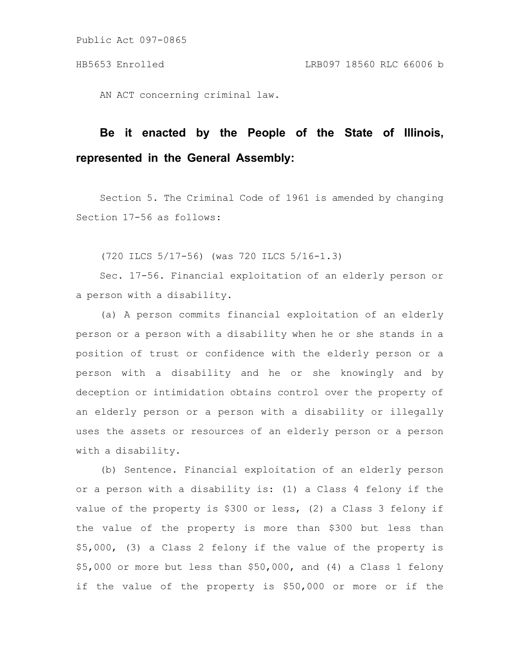Public Act 097-0865

AN ACT concerning criminal law.

## **Be it enacted by the People of the State of Illinois, represented in the General Assembly:**

Section 5. The Criminal Code of 1961 is amended by changing Section 17-56 as follows:

(720 ILCS 5/17-56) (was 720 ILCS 5/16-1.3)

Sec. 17-56. Financial exploitation of an elderly person or a person with a disability.

(a) A person commits financial exploitation of an elderly person or a person with a disability when he or she stands in a position of trust or confidence with the elderly person or a person with a disability and he or she knowingly and by deception or intimidation obtains control over the property of an elderly person or a person with a disability or illegally uses the assets or resources of an elderly person or a person with a disability.

(b) Sentence. Financial exploitation of an elderly person or a person with a disability is: (1) a Class 4 felony if the value of the property is \$300 or less, (2) a Class 3 felony if the value of the property is more than \$300 but less than \$5,000, (3) a Class 2 felony if the value of the property is \$5,000 or more but less than \$50,000, and (4) a Class 1 felony if the value of the property is \$50,000 or more or if the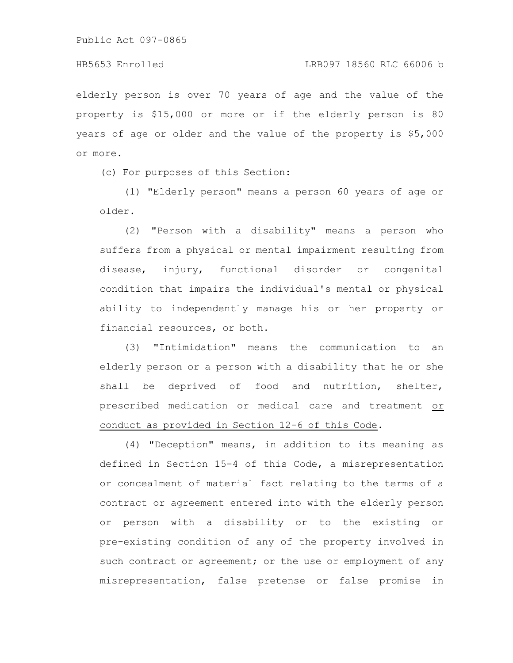elderly person is over 70 years of age and the value of the property is \$15,000 or more or if the elderly person is 80 years of age or older and the value of the property is \$5,000 or more.

(c) For purposes of this Section:

(1) "Elderly person" means a person 60 years of age or older.

(2) "Person with a disability" means a person who suffers from a physical or mental impairment resulting from disease, injury, functional disorder or congenital condition that impairs the individual's mental or physical ability to independently manage his or her property or financial resources, or both.

(3) "Intimidation" means the communication to an elderly person or a person with a disability that he or she shall be deprived of food and nutrition, shelter, prescribed medication or medical care and treatment or conduct as provided in Section 12-6 of this Code.

(4) "Deception" means, in addition to its meaning as defined in Section 15-4 of this Code, a misrepresentation or concealment of material fact relating to the terms of a contract or agreement entered into with the elderly person or person with a disability or to the existing or pre-existing condition of any of the property involved in such contract or agreement; or the use or employment of any misrepresentation, false pretense or false promise in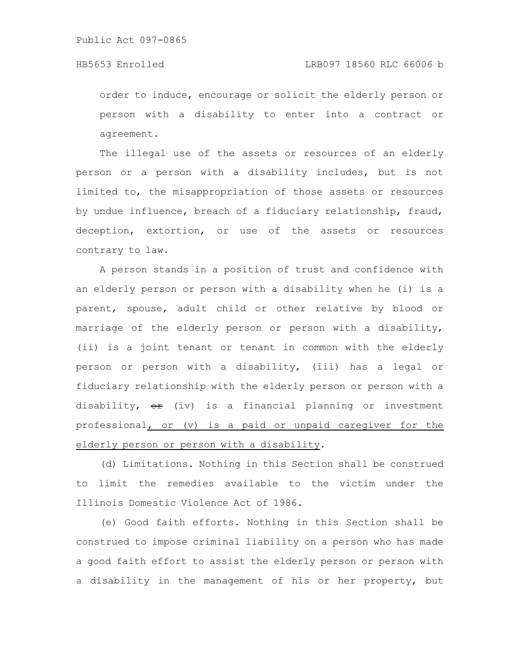## HB5653 Enrolled LRB097 18560 RLC 66006 b

order to induce, encourage or solicit the elderly person or person with a disability to enter into a contract or agreement.

The illegal use of the assets or resources of an elderly person or a person with a disability includes, but is not limited to, the misappropriation of those assets or resources by undue influence, breach of a fiduciary relationship, fraud, deception, extortion, or use of the assets or resources contrary to law.

A person stands in a position of trust and confidence with an elderly person or person with a disability when he (i) is a parent, spouse, adult child or other relative by blood or marriage of the elderly person or person with a disability, (ii) is a joint tenant or tenant in common with the elderly person or person with a disability, (iii) has a legal or fiduciary relationship with the elderly person or person with a disability,  $\Theta$ **r** (iv) is a financial planning or investment professional, or (v) is a paid or unpaid caregiver for the elderly person or person with a disability.

(d) Limitations. Nothing in this Section shall be construed to limit the remedies available to the victim under the Illinois Domestic Violence Act of 1986.

(e) Good faith efforts. Nothing in this Section shall be construed to impose criminal liability on a person who has made a good faith effort to assist the elderly person or person with a disability in the management of his or her property, but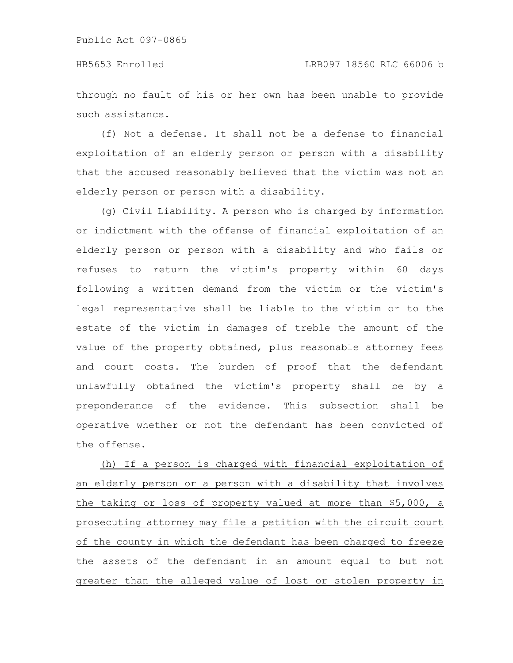through no fault of his or her own has been unable to provide such assistance.

(f) Not a defense. It shall not be a defense to financial exploitation of an elderly person or person with a disability that the accused reasonably believed that the victim was not an elderly person or person with a disability.

(g) Civil Liability. A person who is charged by information or indictment with the offense of financial exploitation of an elderly person or person with a disability and who fails or refuses to return the victim's property within 60 days following a written demand from the victim or the victim's legal representative shall be liable to the victim or to the estate of the victim in damages of treble the amount of the value of the property obtained, plus reasonable attorney fees and court costs. The burden of proof that the defendant unlawfully obtained the victim's property shall be by a preponderance of the evidence. This subsection shall be operative whether or not the defendant has been convicted of the offense.

(h) If a person is charged with financial exploitation of an elderly person or a person with a disability that involves the taking or loss of property valued at more than \$5,000, a prosecuting attorney may file a petition with the circuit court of the county in which the defendant has been charged to freeze the assets of the defendant in an amount equal to but not greater than the alleged value of lost or stolen property in